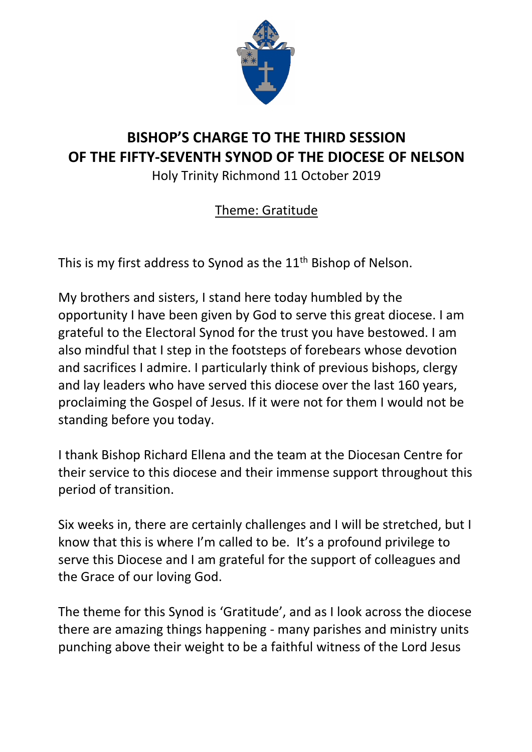

# **BISHOP'S CHARGE TO THE THIRD SESSION OF THE FIFTY-SEVENTH SYNOD OF THE DIOCESE OF NELSON**

Holy Trinity Richmond 11 October 2019

# Theme: Gratitude

This is my first address to Synod as the  $11<sup>th</sup>$  Bishop of Nelson.

My brothers and sisters, I stand here today humbled by the opportunity I have been given by God to serve this great diocese. I am grateful to the Electoral Synod for the trust you have bestowed. I am also mindful that I step in the footsteps of forebears whose devotion and sacrifices I admire. I particularly think of previous bishops, clergy and lay leaders who have served this diocese over the last 160 years, proclaiming the Gospel of Jesus. If it were not for them I would not be standing before you today.

I thank Bishop Richard Ellena and the team at the Diocesan Centre for their service to this diocese and their immense support throughout this period of transition.

Six weeks in, there are certainly challenges and I will be stretched, but I know that this is where I'm called to be. It's a profound privilege to serve this Diocese and I am grateful for the support of colleagues and the Grace of our loving God.

The theme for this Synod is 'Gratitude', and as I look across the diocese there are amazing things happening - many parishes and ministry units punching above their weight to be a faithful witness of the Lord Jesus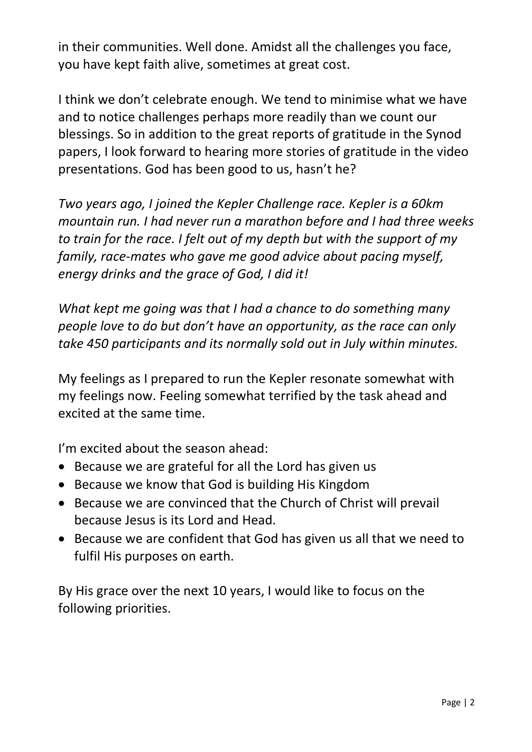in their communities. Well done. Amidst all the challenges you face, you have kept faith alive, sometimes at great cost.

I think we don't celebrate enough. We tend to minimise what we have and to notice challenges perhaps more readily than we count our blessings. So in addition to the great reports of gratitude in the Synod papers, I look forward to hearing more stories of gratitude in the video presentations. God has been good to us, hasn't he?

*Two years ago, I joined the Kepler Challenge race. Kepler is a 60km mountain run. I had never run a marathon before and I had three weeks to train for the race. I felt out of my depth but with the support of my family, race-mates who gave me good advice about pacing myself, energy drinks and the grace of God, I did it!* 

*What kept me going was that I had a chance to do something many people love to do but don't have an opportunity, as the race can only take 450 participants and its normally sold out in July within minutes.* 

My feelings as I prepared to run the Kepler resonate somewhat with my feelings now. Feeling somewhat terrified by the task ahead and excited at the same time.

I'm excited about the season ahead:

- Because we are grateful for all the Lord has given us
- Because we know that God is building His Kingdom
- Because we are convinced that the Church of Christ will prevail because Jesus is its Lord and Head.
- Because we are confident that God has given us all that we need to fulfil His purposes on earth.

By His grace over the next 10 years, I would like to focus on the following priorities.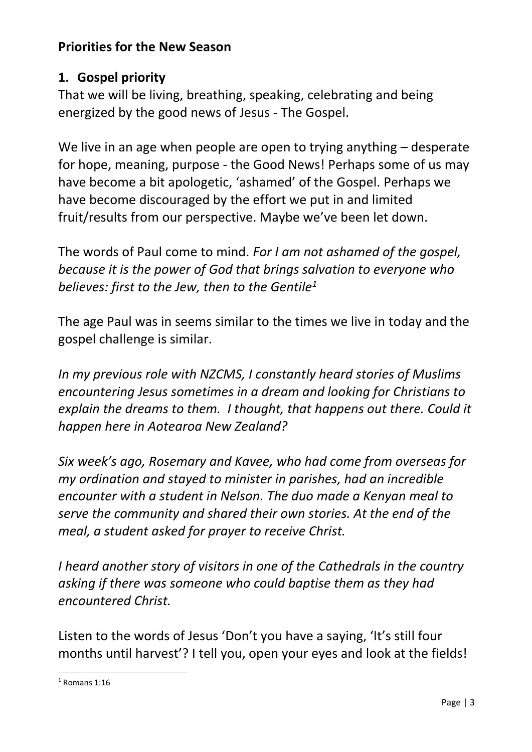# **Priorities for the New Season**

## **1. Gospel priority**

That we will be living, breathing, speaking, celebrating and being energized by the good news of Jesus - The Gospel.

We live in an age when people are open to trying anything – desperate for hope, meaning, purpose - the Good News! Perhaps some of us may have become a bit apologetic, 'ashamed' of the Gospel. Perhaps we have become discouraged by the effort we put in and limited fruit/results from our perspective. Maybe we've been let down.

The words of Paul come to mind. *For I am not ashamed of the gospel, because it is the power of God that brings salvation to everyone who believes: first to the Jew, then to the Gentile<sup>1</sup>*

The age Paul was in seems similar to the times we live in today and the gospel challenge is similar.

*In my previous role with NZCMS, I constantly heard stories of Muslims encountering Jesus sometimes in a dream and looking for Christians to explain the dreams to them. I thought, that happens out there. Could it happen here in Aotearoa New Zealand?* 

*Six week's ago, Rosemary and Kavee, who had come from overseas for my ordination and stayed to minister in parishes, had an incredible encounter with a student in Nelson. The duo made a Kenyan meal to serve the community and shared their own stories. At the end of the meal, a student asked for prayer to receive Christ.*

*I heard another story of visitors in one of the Cathedrals in the country asking if there was someone who could baptise them as they had encountered Christ.* 

Listen to the words of Jesus 'Don't you have a saying, 'It's still four months until harvest'? I tell you, open your eyes and look at the fields!

 $\overline{a}$  $<sup>1</sup>$  Romans 1:16</sup>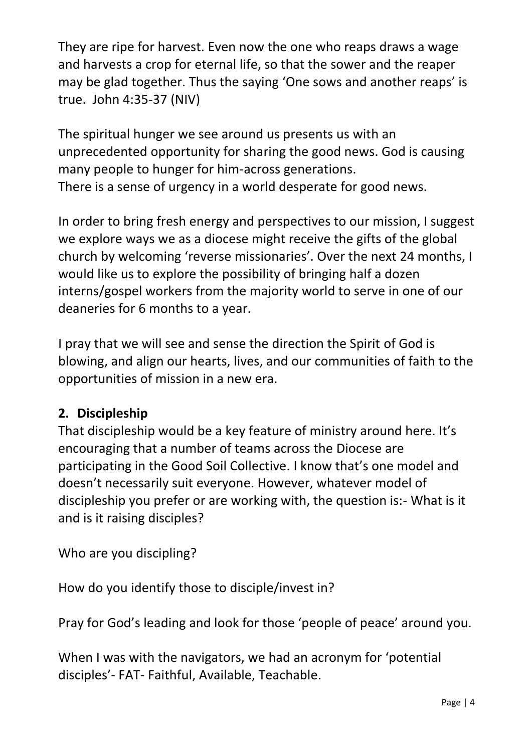They are ripe for harvest. Even now the one who reaps draws a wage and harvests a crop for eternal life, so that the sower and the reaper may be glad together. Thus the saying 'One sows and another reaps' is true. John 4:35-37 (NIV)

The spiritual hunger we see around us presents us with an unprecedented opportunity for sharing the good news. God is causing many people to hunger for him-across generations. There is a sense of urgency in a world desperate for good news.

In order to bring fresh energy and perspectives to our mission, I suggest we explore ways we as a diocese might receive the gifts of the global church by welcoming 'reverse missionaries'. Over the next 24 months, I would like us to explore the possibility of bringing half a dozen interns/gospel workers from the majority world to serve in one of our deaneries for 6 months to a year.

I pray that we will see and sense the direction the Spirit of God is blowing, and align our hearts, lives, and our communities of faith to the opportunities of mission in a new era.

# **2. Discipleship**

That discipleship would be a key feature of ministry around here. It's encouraging that a number of teams across the Diocese are participating in the Good Soil Collective. I know that's one model and doesn't necessarily suit everyone. However, whatever model of discipleship you prefer or are working with, the question is:- What is it and is it raising disciples?

Who are you discipling?

How do you identify those to disciple/invest in?

Pray for God's leading and look for those 'people of peace' around you.

When I was with the navigators, we had an acronym for 'potential disciples'- FAT- Faithful, Available, Teachable.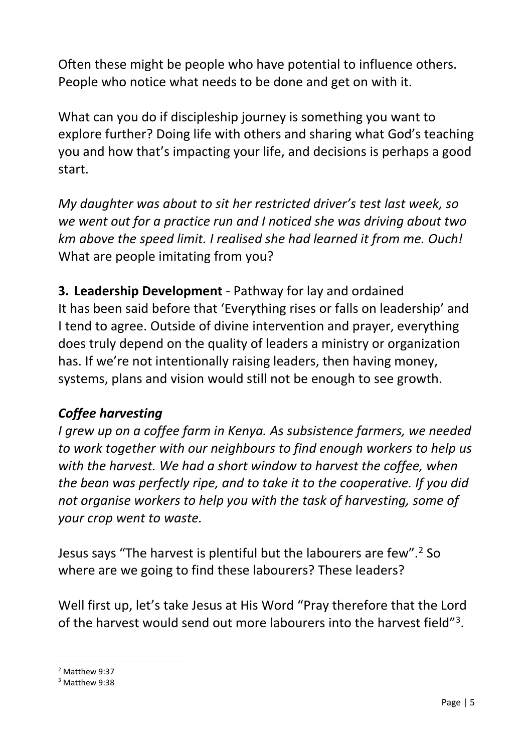Often these might be people who have potential to influence others. People who notice what needs to be done and get on with it.

What can you do if discipleship journey is something you want to explore further? Doing life with others and sharing what God's teaching you and how that's impacting your life, and decisions is perhaps a good start.

*My daughter was about to sit her restricted driver's test last week, so we went out for a practice run and I noticed she was driving about two km above the speed limit. I realised she had learned it from me. Ouch!* What are people imitating from you?

**3. Leadership Development** - Pathway for lay and ordained It has been said before that 'Everything rises or falls on leadership' and I tend to agree. Outside of divine intervention and prayer, everything does truly depend on the quality of leaders a ministry or organization has. If we're not intentionally raising leaders, then having money, systems, plans and vision would still not be enough to see growth.

# *Coffee harvesting*

*I grew up on a coffee farm in Kenya. As subsistence farmers, we needed to work together with our neighbours to find enough workers to help us*  with the harvest. We had a short window to harvest the coffee, when *the bean was perfectly ripe, and to take it to the cooperative. If you did not organise workers to help you with the task of harvesting, some of your crop went to waste.* 

Jesus says "The harvest is plentiful but the labourers are few".<sup>2</sup> So where are we going to find these labourers? These leaders?

Well first up, let's take Jesus at His Word "Pray therefore that the Lord of the harvest would send out more labourers into the harvest field"<sup>3</sup>.

 $\overline{a}$ 

<sup>2</sup> Matthew 9:37

<sup>3</sup> Matthew 9:38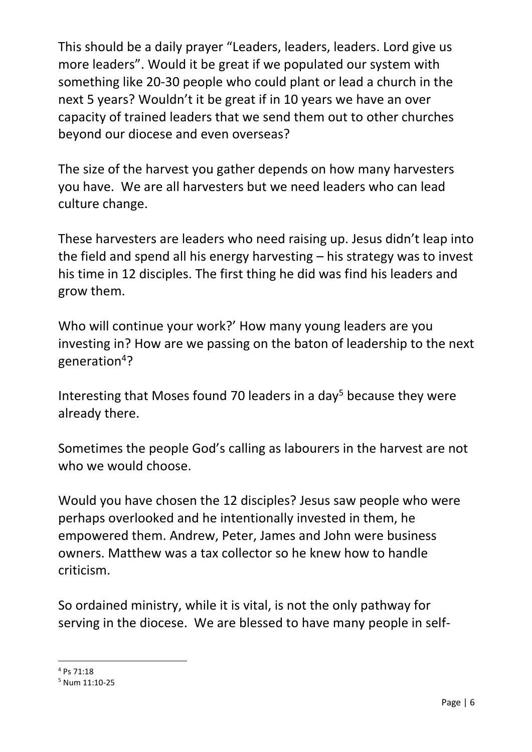This should be a daily prayer "Leaders, leaders, leaders. Lord give us more leaders". Would it be great if we populated our system with something like 20-30 people who could plant or lead a church in the next 5 years? Wouldn't it be great if in 10 years we have an over capacity of trained leaders that we send them out to other churches beyond our diocese and even overseas?

The size of the harvest you gather depends on how many harvesters you have. We are all harvesters but we need leaders who can lead culture change.

These harvesters are leaders who need raising up. Jesus didn't leap into the field and spend all his energy harvesting – his strategy was to invest his time in 12 disciples. The first thing he did was find his leaders and grow them.

Who will continue your work?' How many young leaders are you investing in? How are we passing on the baton of leadership to the next generation<sup>4</sup>?

Interesting that Moses found 70 leaders in a day<sup>5</sup> because they were already there.

Sometimes the people God's calling as labourers in the harvest are not who we would choose.

Would you have chosen the 12 disciples? Jesus saw people who were perhaps overlooked and he intentionally invested in them, he empowered them. Andrew, Peter, James and John were business owners. Matthew was a tax collector so he knew how to handle criticism.

So ordained ministry, while it is vital, is not the only pathway for serving in the diocese. We are blessed to have many people in self-

 $\overline{a}$ 

<sup>4</sup> Ps 71:18

<sup>5</sup> Num 11:10-25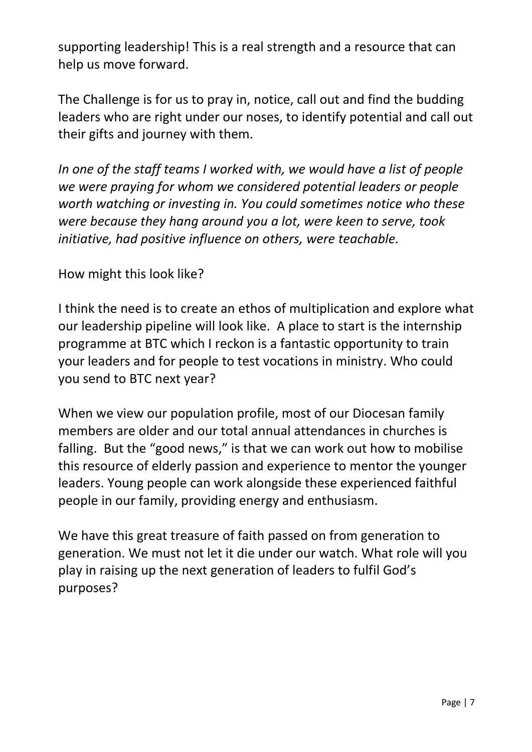supporting leadership! This is a real strength and a resource that can help us move forward.

The Challenge is for us to pray in, notice, call out and find the budding leaders who are right under our noses, to identify potential and call out their gifts and journey with them.

*In one of the staff teams I worked with, we would have a list of people we were praying for whom we considered potential leaders or people worth watching or investing in. You could sometimes notice who these were because they hang around you a lot, were keen to serve, took initiative, had positive influence on others, were teachable.* 

#### How might this look like?

I think the need is to create an ethos of multiplication and explore what our leadership pipeline will look like. A place to start is the internship programme at BTC which I reckon is a fantastic opportunity to train your leaders and for people to test vocations in ministry. Who could you send to BTC next year?

When we view our population profile, most of our Diocesan family members are older and our total annual attendances in churches is falling. But the "good news," is that we can work out how to mobilise this resource of elderly passion and experience to mentor the younger leaders. Young people can work alongside these experienced faithful people in our family, providing energy and enthusiasm.

We have this great treasure of faith passed on from generation to generation. We must not let it die under our watch. What role will you play in raising up the next generation of leaders to fulfil God's purposes?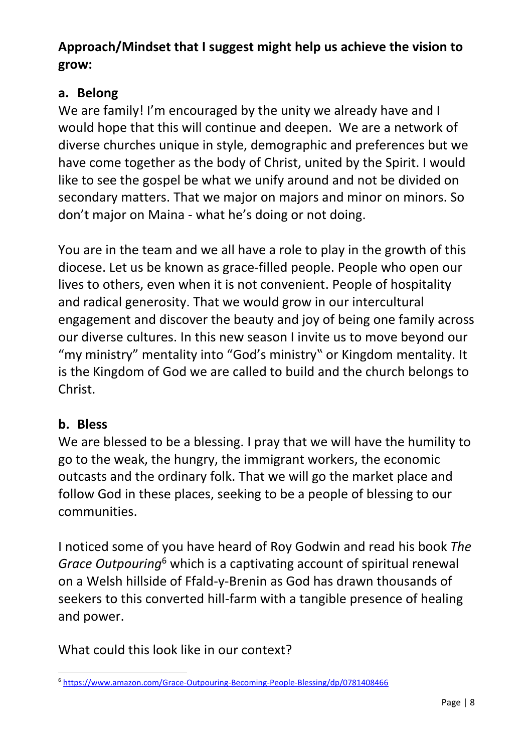# **Approach/Mindset that I suggest might help us achieve the vision to grow:**

### **a. Belong**

We are family! I'm encouraged by the unity we already have and I would hope that this will continue and deepen. We are a network of diverse churches unique in style, demographic and preferences but we have come together as the body of Christ, united by the Spirit. I would like to see the gospel be what we unify around and not be divided on secondary matters. That we major on majors and minor on minors. So don't major on Maina - what he's doing or not doing.

You are in the team and we all have a role to play in the growth of this diocese. Let us be known as grace-filled people. People who open our lives to others, even when it is not convenient. People of hospitality and radical generosity. That we would grow in our intercultural engagement and discover the beauty and joy of being one family across our diverse cultures. In this new season I invite us to move beyond our "my ministry" mentality into "God's ministry" or Kingdom mentality. It is the Kingdom of God we are called to build and the church belongs to Christ.

# **b. Bless**

We are blessed to be a blessing. I pray that we will have the humility to go to the weak, the hungry, the immigrant workers, the economic outcasts and the ordinary folk. That we will go the market place and follow God in these places, seeking to be a people of blessing to our communities.

I noticed some of you have heard of Roy Godwin and read his book *The Grace Outpouring*<sup>6</sup> which is a captivating account of spiritual renewal on a Welsh hillside of Ffald-y-Brenin as God has drawn thousands of seekers to this converted hill-farm with a tangible presence of healing and power.

What could this look like in our context?

 $\overline{a}$ <sup>6</sup> <https://www.amazon.com/Grace-Outpouring-Becoming-People-Blessing/dp/0781408466>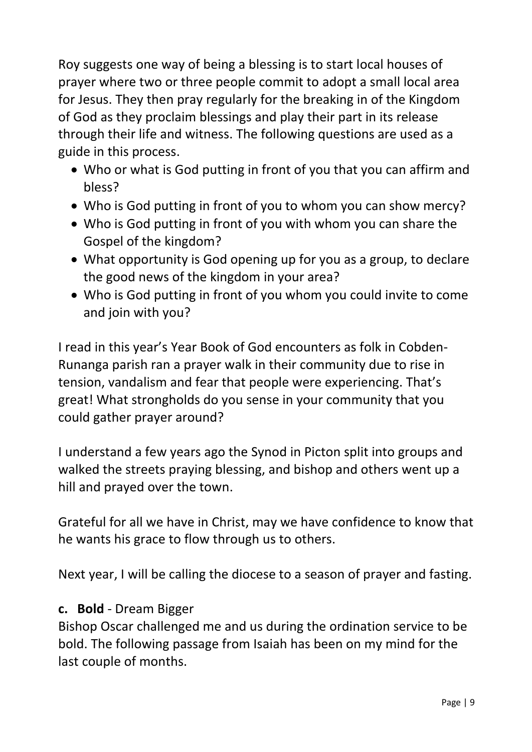Roy suggests one way of being a blessing is to start local houses of prayer where two or three people commit to adopt a small local area for Jesus. They then pray regularly for the breaking in of the Kingdom of God as they proclaim blessings and play their part in its release through their life and witness. The following questions are used as a guide in this process.

- Who or what is God putting in front of you that you can affirm and bless?
- Who is God putting in front of you to whom you can show mercy?
- Who is God putting in front of you with whom you can share the Gospel of the kingdom?
- What opportunity is God opening up for you as a group, to declare the good news of the kingdom in your area?
- Who is God putting in front of you whom you could invite to come and join with you?

I read in this year's Year Book of God encounters as folk in Cobden-Runanga parish ran a prayer walk in their community due to rise in tension, vandalism and fear that people were experiencing. That's great! What strongholds do you sense in your community that you could gather prayer around?

I understand a few years ago the Synod in Picton split into groups and walked the streets praying blessing, and bishop and others went up a hill and prayed over the town.

Grateful for all we have in Christ, may we have confidence to know that he wants his grace to flow through us to others.

Next year, I will be calling the diocese to a season of prayer and fasting.

#### **c. Bold** - Dream Bigger

Bishop Oscar challenged me and us during the ordination service to be bold. The following passage from Isaiah has been on my mind for the last couple of months.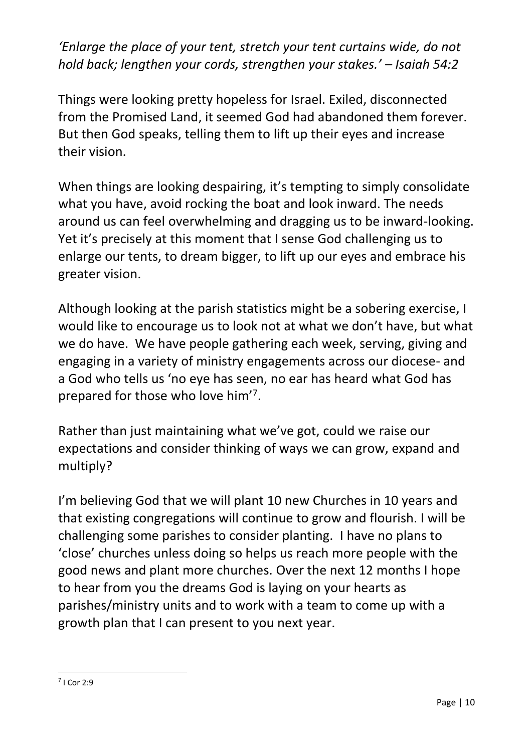*'Enlarge the place of your tent, stretch your tent curtains wide, do not hold back; lengthen your cords, strengthen your stakes.' – Isaiah 54:2*

Things were looking pretty hopeless for Israel. Exiled, disconnected from the Promised Land, it seemed God had abandoned them forever. But then God speaks, telling them to lift up their eyes and increase their vision.

When things are looking despairing, it's tempting to simply consolidate what you have, avoid rocking the boat and look inward. The needs around us can feel overwhelming and dragging us to be inward-looking. Yet it's precisely at this moment that I sense God challenging us to enlarge our tents, to dream bigger, to lift up our eyes and embrace his greater vision.

Although looking at the parish statistics might be a sobering exercise, I would like to encourage us to look not at what we don't have, but what we do have. We have people gathering each week, serving, giving and engaging in a variety of ministry engagements across our diocese- and a God who tells us 'no eye has seen, no ear has heard what God has prepared for those who love him'<sup>7</sup>.

Rather than just maintaining what we've got, could we raise our expectations and consider thinking of ways we can grow, expand and multiply?

I'm believing God that we will plant 10 new Churches in 10 years and that existing congregations will continue to grow and flourish. I will be challenging some parishes to consider planting. I have no plans to 'close' churches unless doing so helps us reach more people with the good news and plant more churches. Over the next 12 months I hope to hear from you the dreams God is laying on your hearts as parishes/ministry units and to work with a team to come up with a growth plan that I can present to you next year.

 $\overline{a}$ 7 I Cor 2:9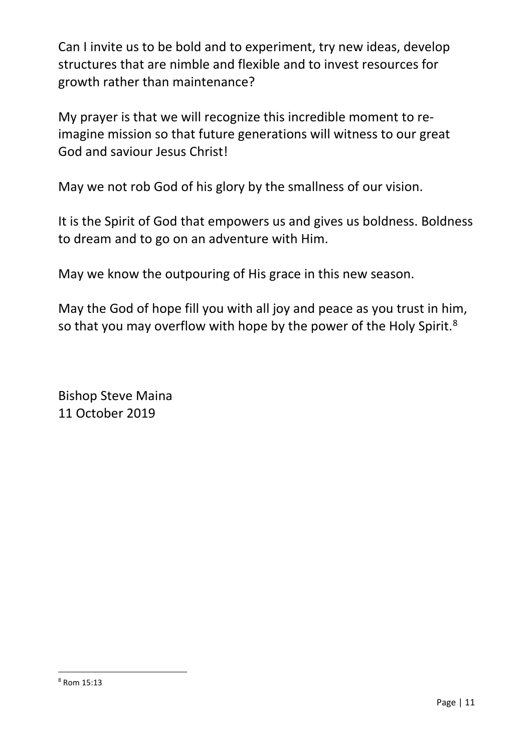Can I invite us to be bold and to experiment, try new ideas, develop structures that are nimble and flexible and to invest resources for growth rather than maintenance?

My prayer is that we will recognize this incredible moment to reimagine mission so that future generations will witness to our great God and saviour Jesus Christ!

May we not rob God of his glory by the smallness of our vision.

It is the Spirit of God that empowers us and gives us boldness. Boldness to dream and to go on an adventure with Him.

May we know the outpouring of His grace in this new season.

May the God of hope fill you with all joy and peace as you trust in him, so that you may overflow with hope by the power of the Holy Spirit.<sup>8</sup>

Bishop Steve Maina 11 October 2019

 $\overline{a}$ 

<sup>8</sup> Rom 15:13